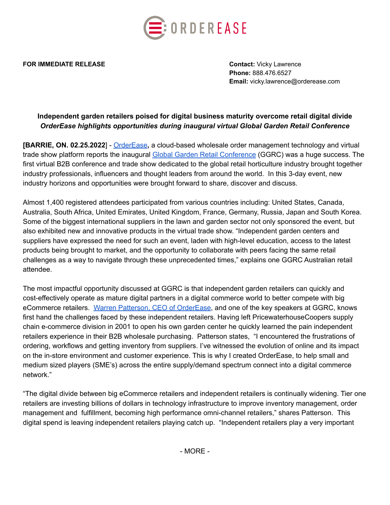

**FOR IMMEDIATE RELEASE CONTACT ACCOUNT AND RELEASE CONTACT:** Vicky Lawrence

**Phone:** 888.476.6527 **Email:** vicky.lawrence@orderease.com

## **Independent garden retailers poised for digital business maturity overcome retail digital divide** *OrderEase highlights opportunities during inaugural virtual Global Garden Retail Conference*

**[BARRIE, ON. 02.25.2022**] - [OrderEase](https://www.orderease.com/)**,** a cloud-based wholesale order management technology and virtual trade show platform reports the inaugural Global Garden Retail [Conference](https://gardenretailconference.com/) (GGRC) was a huge success. The first virtual B2B conference and trade show dedicated to the global retail horticulture industry brought together industry professionals, influencers and thought leaders from around the world. In this 3-day event, new industry horizons and opportunities were brought forward to share, discover and discuss.

Almost 1,400 registered attendees participated from various countries including: United States, Canada, Australia, South Africa, United Emirates, United Kingdom, France, Germany, Russia, Japan and South Korea. Some of the biggest international suppliers in the lawn and garden sector not only sponsored the event, but also exhibited new and innovative products in the virtual trade show. "Independent garden centers and suppliers have expressed the need for such an event, laden with high-level education, access to the latest products being brought to market, and the opportunity to collaborate with peers facing the same retail challenges as a way to navigate through these unprecedented times," explains one GGRC Australian retail attendee.

The most impactful opportunity discussed at GGRC is that independent garden retailers can quickly and cost-effectively operate as mature digital partners in a digital commerce world to better compete with big eCommerce retailers. Warren Patterson, CEO of [OrderEase](https://www.linkedin.com/in/warrenpatterson/), and one of the key speakers at GGRC, knows first hand the challenges faced by these independent retailers. Having left PricewaterhouseCoopers supply chain e-commerce division in 2001 to open his own garden center he quickly learned the pain independent retailers experience in their B2B wholesale purchasing. Patterson states, "I encountered the frustrations of ordering, workflows and getting inventory from suppliers. I've witnessed the evolution of online and its impact on the in-store environment and customer experience. This is why I created OrderEase, to help small and medium sized players (SME's) across the entire supply/demand spectrum connect into a digital commerce network."

"The digital divide between big eCommerce retailers and independent retailers is continually widening. Tier one retailers are investing billions of dollars in technology infrastructure to improve inventory management, order management and fulfillment, becoming high performance omni-channel retailers," shares Patterson. This digital spend is leaving independent retailers playing catch up. "Independent retailers play a very important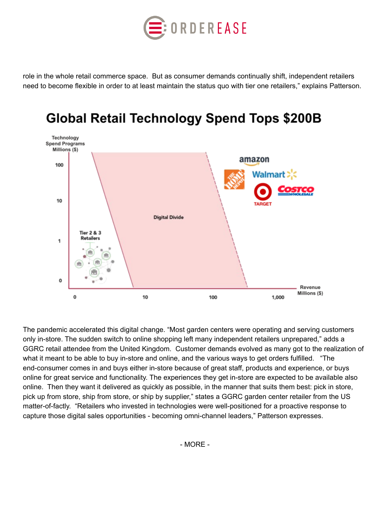

role in the whole retail commerce space. But as consumer demands continually shift, independent retailers need to become flexible in order to at least maintain the status quo with tier one retailers," explains Patterson.



# **Global Retail Technology Spend Tops \$200B**

The pandemic accelerated this digital change. "Most garden centers were operating and serving customers only in-store. The sudden switch to online shopping left many independent retailers unprepared," adds a GGRC retail attendee from the United Kingdom. Customer demands evolved as many got to the realization of what it meant to be able to buy in-store and online, and the various ways to get orders fulfilled. "The end-consumer comes in and buys either in-store because of great staff, products and experience, or buys online for great service and functionality. The experiences they get in-store are expected to be available also online. Then they want it delivered as quickly as possible, in the manner that suits them best: pick in store, pick up from store, ship from store, or ship by supplier," states a GGRC garden center retailer from the US matter-of-factly. "Retailers who invested in technologies were well-positioned for a proactive response to capture those digital sales opportunities - becoming omni-channel leaders," Patterson expresses.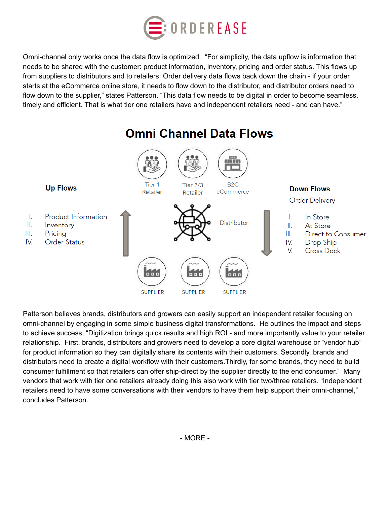

Omni-channel only works once the data flow is optimized. "For simplicity, the data upflow is information that needs to be shared with the customer: product information, inventory, pricing and order status. This flows up from suppliers to distributors and to retailers. Order delivery data flows back down the chain - if your order starts at the eCommerce online store, it needs to flow down to the distributor, and distributor orders need to flow down to the supplier," states Patterson. "This data flow needs to be digital in order to become seamless, timely and efficient. That is what tier one retailers have and independent retailers need - and can have."



Patterson believes brands, distributors and growers can easily support an independent retailer focusing on omni-channel by engaging in some simple business digital transformations. He outlines the impact and steps to achieve success, "Digitization brings quick results and high ROI - and more importantly value to your retailer relationship. First, brands, distributors and growers need to develop a core digital warehouse or "vendor hub" for product information so they can digitally share its contents with their customers. Secondly, brands and distributors need to create a digital workflow with their customers.Thirdly, for some brands, they need to build consumer fulfillment so that retailers can offer ship-direct by the supplier directly to the end consumer." Many vendors that work with tier one retailers already doing this also work with tier two/three retailers. "Independent retailers need to have some conversations with their vendors to have them help support their omni-channel," concludes Patterson.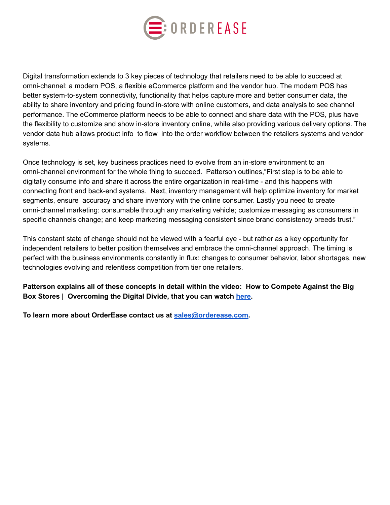

Digital transformation extends to 3 key pieces of technology that retailers need to be able to succeed at omni-channel: a modern POS, a flexible eCommerce platform and the vendor hub. The modern POS has better system-to-system connectivity, functionality that helps capture more and better consumer data, the ability to share inventory and pricing found in-store with online customers, and data analysis to see channel performance. The eCommerce platform needs to be able to connect and share data with the POS, plus have the flexibility to customize and show in-store inventory online, while also providing various delivery options. The vendor data hub allows product info to flow into the order workflow between the retailers systems and vendor systems.

Once technology is set, key business practices need to evolve from an in-store environment to an omni-channel environment for the whole thing to succeed. Patterson outlines,"First step is to be able to digitally consume info and share it across the entire organization in real-time - and this happens with connecting front and back-end systems. Next, inventory management will help optimize inventory for market segments, ensure accuracy and share inventory with the online consumer. Lastly you need to create omni-channel marketing: consumable through any marketing vehicle; customize messaging as consumers in specific channels change; and keep marketing messaging consistent since brand consistency breeds trust."

This constant state of change should not be viewed with a fearful eye - but rather as a key opportunity for independent retailers to better position themselves and embrace the omni-channel approach. The timing is perfect with the business environments constantly in flux: changes to consumer behavior, labor shortages, new technologies evolving and relentless competition from tier one retailers.

**Patterson explains all of these concepts in detail within the video: How to Compete Against the Big Box Stores | Overcoming the Digital Divide, that you can watch [here.](https://www.youtube.com/watch?v=aFR5weUnHNo)**

**To learn more about OrderEase contact us at [sales@orderease.com.](mailto:sales@orderease.com)**